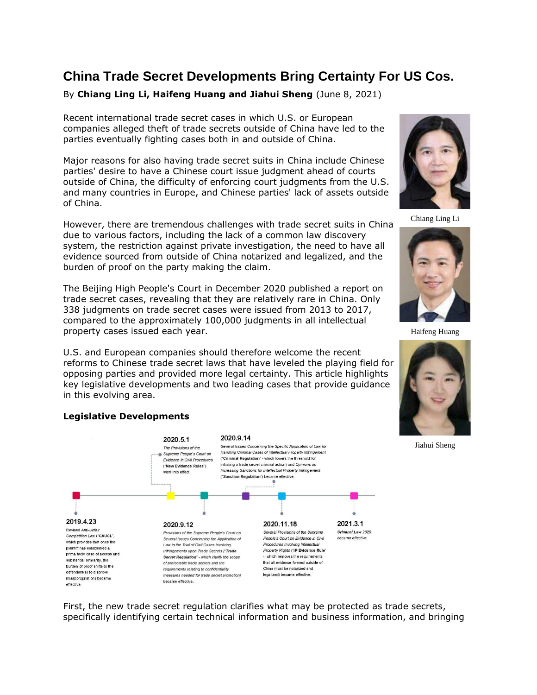# **China Trade Secret Developments Bring Certainty For US Cos.**

By **Chiang Ling Li, Haifeng Huang and Jiahui Sheng** (June 8, 2021)

Recent international trade secret cases in which U.S. or European companies alleged theft of trade secrets outside of China have led to the parties eventually fighting cases both in and outside of China.

Major reasons for also having trade secret suits in China include Chinese parties' desire to have a Chinese court issue judgment ahead of courts outside of China, the difficulty of enforcing court judgments from the U.S. and many countries in Europe, and Chinese parties' lack of assets outside of China.

However, there are tremendous challenges with trade secret suits in China due to various factors, including the lack of a common law discovery system, the restriction against private investigation, the need to have all evidence sourced from outside of China notarized and legalized, and the burden of proof on the party making the claim.

The Beijing High People's Court in December 2020 published a report on trade secret cases, revealing that they are relatively rare in China. Only 338 judgments on trade secret cases were issued from 2013 to 2017, compared to the approximately 100,000 judgments in all intellectual property cases issued each year.

U.S. and European companies should therefore welcome the recent reforms to Chinese trade secret laws that have leveled the playing field for opposing parties and provided more legal certainty. This article highlights key legislative developments and two leading cases that provide guidance in this evolving area.



# **Legislative Developments**

First, the new trade secret regulation clarifies what may be protected as trade secrets, specifically identifying certain technical information and business information, and bringing



Chiang Ling Li



Haifeng Huang



Jiahui Sheng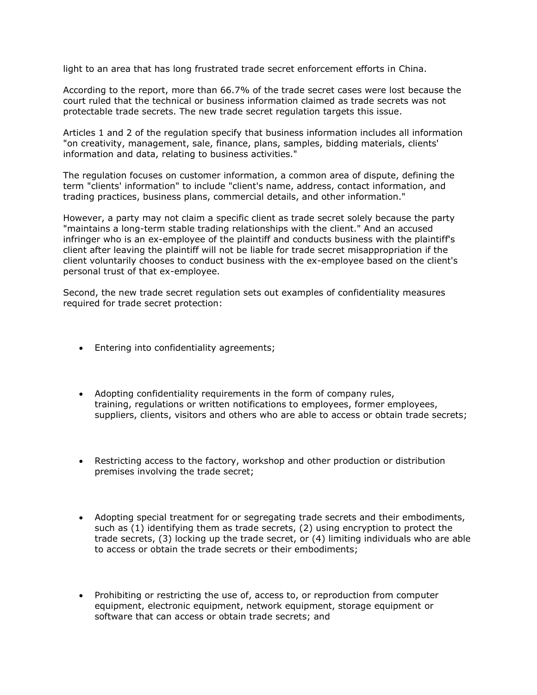light to an area that has long frustrated trade secret enforcement efforts in China.

According to the report, more than 66.7% of the trade secret cases were lost because the court ruled that the technical or business information claimed as trade secrets was not protectable trade secrets. The new trade secret regulation targets this issue.

Articles 1 and 2 of the regulation specify that business information includes all information "on creativity, management, sale, finance, plans, samples, bidding materials, clients' information and data, relating to business activities."

The regulation focuses on customer information, a common area of dispute, defining the term "clients' information" to include "client's name, address, contact information, and trading practices, business plans, commercial details, and other information."

However, a party may not claim a specific client as trade secret solely because the party "maintains a long-term stable trading relationships with the client." And an accused infringer who is an ex-employee of the plaintiff and conducts business with the plaintiff's client after leaving the plaintiff will not be liable for trade secret misappropriation if the client voluntarily chooses to conduct business with the ex-employee based on the client's personal trust of that ex-employee.

Second, the new trade secret regulation sets out examples of confidentiality measures required for trade secret protection:

- Entering into confidentiality agreements;
- Adopting confidentiality requirements in the form of company rules, training, regulations or written notifications to employees, former employees, suppliers, clients, visitors and others who are able to access or obtain trade secrets;
- Restricting access to the factory, workshop and other production or distribution premises involving the trade secret;
- Adopting special treatment for or segregating trade secrets and their embodiments, such as (1) identifying them as trade secrets, (2) using encryption to protect the trade secrets, (3) locking up the trade secret, or (4) limiting individuals who are able to access or obtain the trade secrets or their embodiments;
- Prohibiting or restricting the use of, access to, or reproduction from computer equipment, electronic equipment, network equipment, storage equipment or software that can access or obtain trade secrets; and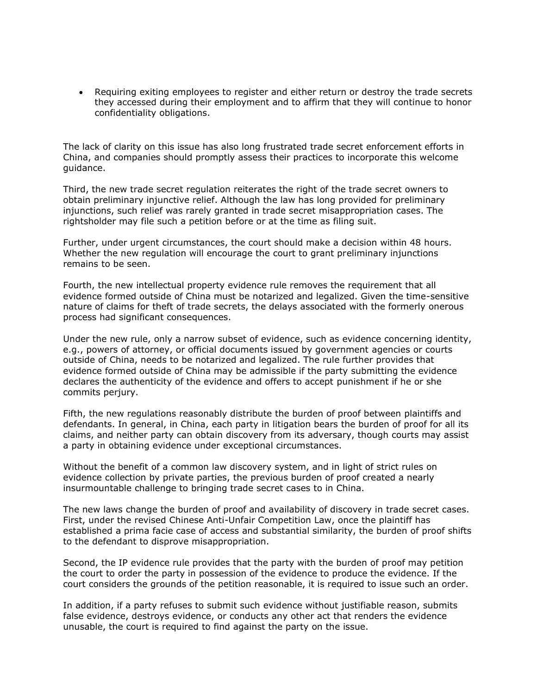• Requiring exiting employees to register and either return or destroy the trade secrets they accessed during their employment and to affirm that they will continue to honor confidentiality obligations.

The lack of clarity on this issue has also long frustrated trade secret enforcement efforts in China, and companies should promptly assess their practices to incorporate this welcome guidance.

Third, the new trade secret regulation reiterates the right of the trade secret owners to obtain preliminary injunctive relief. Although the law has long provided for preliminary injunctions, such relief was rarely granted in trade secret misappropriation cases. The rightsholder may file such a petition before or at the time as filing suit.

Further, under urgent circumstances, the court should make a decision within 48 hours. Whether the new regulation will encourage the court to grant preliminary injunctions remains to be seen.

Fourth, the new intellectual property evidence rule removes the requirement that all evidence formed outside of China must be notarized and legalized. Given the time-sensitive nature of claims for theft of trade secrets, the delays associated with the formerly onerous process had significant consequences.

Under the new rule, only a narrow subset of evidence, such as evidence concerning identity, e.g., powers of attorney, or official documents issued by government agencies or courts outside of China, needs to be notarized and legalized. The rule further provides that evidence formed outside of China may be admissible if the party submitting the evidence declares the authenticity of the evidence and offers to accept punishment if he or she commits perjury.

Fifth, the new regulations reasonably distribute the burden of proof between plaintiffs and defendants. In general, in China, each party in litigation bears the burden of proof for all its claims, and neither party can obtain discovery from its adversary, though courts may assist a party in obtaining evidence under exceptional circumstances.

Without the benefit of a common law discovery system, and in light of strict rules on evidence collection by private parties, the previous burden of proof created a nearly insurmountable challenge to bringing trade secret cases to in China.

The new laws change the burden of proof and availability of discovery in trade secret cases. First, under the revised Chinese Anti-Unfair Competition Law, once the plaintiff has established a prima facie case of access and substantial similarity, the burden of proof shifts to the defendant to disprove misappropriation.

Second, the IP evidence rule provides that the party with the burden of proof may petition the court to order the party in possession of the evidence to produce the evidence. If the court considers the grounds of the petition reasonable, it is required to issue such an order.

In addition, if a party refuses to submit such evidence without justifiable reason, submits false evidence, destroys evidence, or conducts any other act that renders the evidence unusable, the court is required to find against the party on the issue.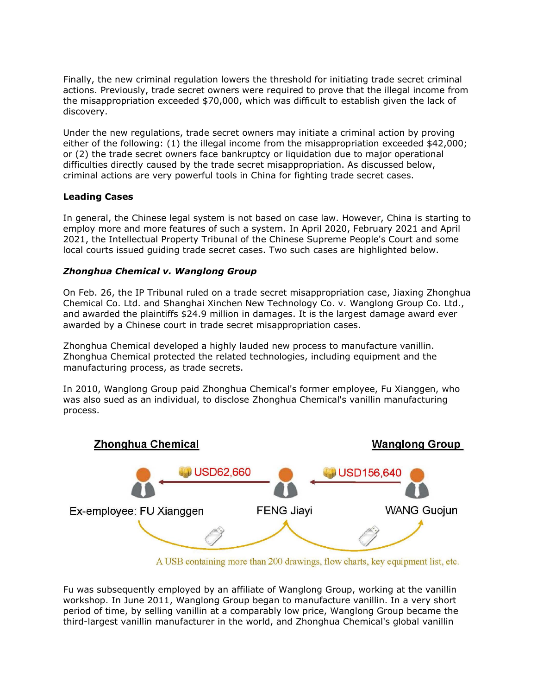Finally, the new criminal regulation lowers the threshold for initiating trade secret criminal actions. Previously, trade secret owners were required to prove that the illegal income from the misappropriation exceeded \$70,000, which was difficult to establish given the lack of discovery.

Under the new regulations, trade secret owners may initiate a criminal action by proving either of the following: (1) the illegal income from the misappropriation exceeded \$42,000; or (2) the trade secret owners face bankruptcy or liquidation due to major operational difficulties directly caused by the trade secret misappropriation. As discussed below, criminal actions are very powerful tools in China for fighting trade secret cases.

## **Leading Cases**

In general, the Chinese legal system is not based on case law. However, China is starting to employ more and more features of such a system. In April 2020, February 2021 and April 2021, the Intellectual Property Tribunal of the Chinese Supreme People's Court and some local courts issued guiding trade secret cases. Two such cases are highlighted below.

#### *Zhonghua Chemical v. Wanglong Group*

On Feb. 26, the IP Tribunal ruled on a trade secret misappropriation case, Jiaxing Zhonghua Chemical Co. Ltd. and Shanghai Xinchen New Technology Co. v. Wanglong Group Co. Ltd., and awarded the plaintiffs \$24.9 million in damages. It is the largest damage award ever awarded by a Chinese court in trade secret misappropriation cases.

Zhonghua Chemical developed a highly lauded new process to manufacture vanillin. Zhonghua Chemical protected the related technologies, including equipment and the manufacturing process, as trade secrets.

In 2010, Wanglong Group paid Zhonghua Chemical's former employee, Fu Xianggen, who was also sued as an individual, to disclose Zhonghua Chemical's vanillin manufacturing process.



A USB containing more than 200 drawings, flow charts, key equipment list, etc.

Fu was subsequently employed by an affiliate of Wanglong Group, working at the vanillin workshop. In June 2011, Wanglong Group began to manufacture vanillin. In a very short period of time, by selling vanillin at a comparably low price, Wanglong Group became the third-largest vanillin manufacturer in the world, and Zhonghua Chemical's global vanillin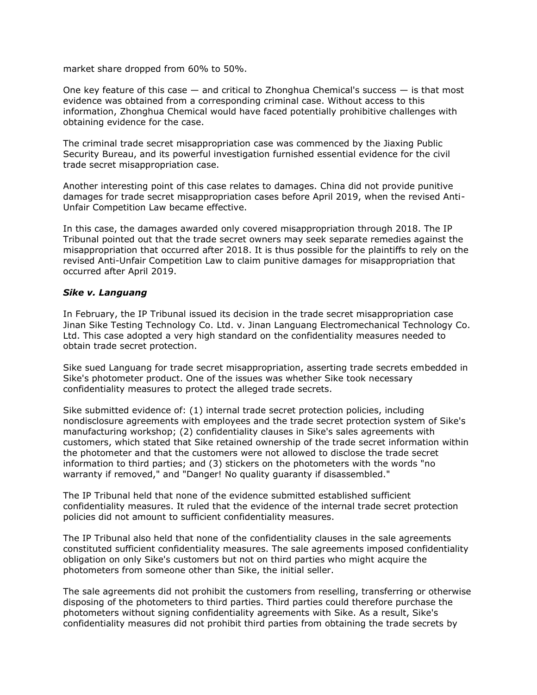market share dropped from 60% to 50%.

One key feature of this case  $-$  and critical to Zhonghua Chemical's success  $-$  is that most evidence was obtained from a corresponding criminal case. Without access to this information, Zhonghua Chemical would have faced potentially prohibitive challenges with obtaining evidence for the case.

The criminal trade secret misappropriation case was commenced by the Jiaxing Public Security Bureau, and its powerful investigation furnished essential evidence for the civil trade secret misappropriation case.

Another interesting point of this case relates to damages. China did not provide punitive damages for trade secret misappropriation cases before April 2019, when the revised Anti-Unfair Competition Law became effective.

In this case, the damages awarded only covered misappropriation through 2018. The IP Tribunal pointed out that the trade secret owners may seek separate remedies against the misappropriation that occurred after 2018. It is thus possible for the plaintiffs to rely on the revised Anti-Unfair Competition Law to claim punitive damages for misappropriation that occurred after April 2019.

## *Sike v. Languang*

In February, the IP Tribunal issued its decision in the trade secret misappropriation case Jinan Sike Testing Technology Co. Ltd. v. Jinan Languang Electromechanical Technology Co. Ltd. This case adopted a very high standard on the confidentiality measures needed to obtain trade secret protection.

Sike sued Languang for trade secret misappropriation, asserting trade secrets embedded in Sike's photometer product. One of the issues was whether Sike took necessary confidentiality measures to protect the alleged trade secrets.

Sike submitted evidence of: (1) internal trade secret protection policies, including nondisclosure agreements with employees and the trade secret protection system of Sike's manufacturing workshop; (2) confidentiality clauses in Sike's sales agreements with customers, which stated that Sike retained ownership of the trade secret information within the photometer and that the customers were not allowed to disclose the trade secret information to third parties; and (3) stickers on the photometers with the words "no warranty if removed," and "Danger! No quality guaranty if disassembled."

The IP Tribunal held that none of the evidence submitted established sufficient confidentiality measures. It ruled that the evidence of the internal trade secret protection policies did not amount to sufficient confidentiality measures.

The IP Tribunal also held that none of the confidentiality clauses in the sale agreements constituted sufficient confidentiality measures. The sale agreements imposed confidentiality obligation on only Sike's customers but not on third parties who might acquire the photometers from someone other than Sike, the initial seller.

The sale agreements did not prohibit the customers from reselling, transferring or otherwise disposing of the photometers to third parties. Third parties could therefore purchase the photometers without signing confidentiality agreements with Sike. As a result, Sike's confidentiality measures did not prohibit third parties from obtaining the trade secrets by